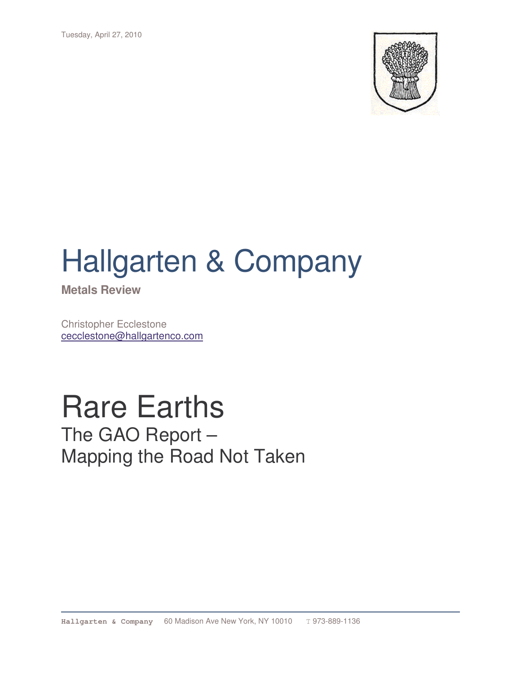

# Hallgarten & Company

**Metals Review**

Christopher Ecclestone cecclestone@hallgartenco.com

### Rare Earths The GAO Report – Mapping the Road Not Taken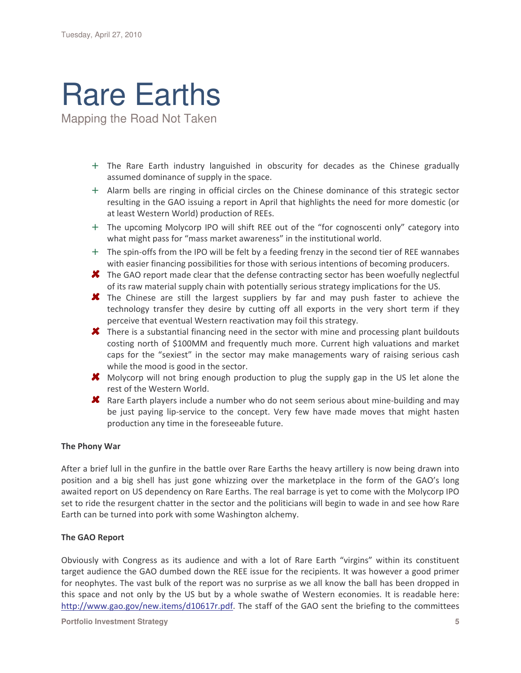## **Rare Earths**

Mapping the Road Not Taken

- + The Rare Earth industry languished in obscurity for decades as the Chinese gradually assumed dominance of supply in the space.
- + Alarm bells are ringing in official circles on the Chinese dominance of this strategic sector resulting in the GAO issuing a report in April that highlights the need for more domestic (or at least Western World) production of REEs.
- + The upcoming Molycorp IPO will shift REE out of the "for cognoscenti only" category into what might pass for "mass market awareness" in the institutional world.
- + The spin-offs from the IPO will be felt by a feeding frenzy in the second tier of REE wannabes with easier financing possibilities for those with serious intentions of becoming producers.
- $\star$  The GAO report made clear that the defense contracting sector has been woefully neglectful of its raw material supply chain with potentially serious strategy implications for the US.
- $\blacktriangleright$  The Chinese are still the largest suppliers by far and may push faster to achieve the technology transfer they desire by cutting off all exports in the very short term if they perceive that eventual Western reactivation may foil this strategy.
- X There is a substantial financing need in the sector with mine and processing plant buildouts costing north of \$100MM and frequently much more. Current high valuations and market caps for the "sexiest" in the sector may make managements wary of raising serious cash while the mood is good in the sector.
- **X** Molycorp will not bring enough production to plug the supply gap in the US let alone the rest of the Western World.
- **★** Rare Earth players include a number who do not seem serious about mine-building and may be just paying lip-service to the concept. Very few have made moves that might hasten production any time in the foreseeable future.

#### The Phony War

After a brief lull in the gunfire in the battle over Rare Earths the heavy artillery is now being drawn into position and a big shell has just gone whizzing over the marketplace in the form of the GAO's long awaited report on US dependency on Rare Earths. The real barrage is yet to come with the Molycorp IPO set to ride the resurgent chatter in the sector and the politicians will begin to wade in and see how Rare Earth can be turned into pork with some Washington alchemy.

#### **The GAO Report**

Obviously with Congress as its audience and with a lot of Rare Earth "virgins" within its constituent target audience the GAO dumbed down the REE issue for the recipients. It was however a good primer for neophytes. The vast bulk of the report was no surprise as we all know the ball has been dropped in this space and not only by the US but by a whole swathe of Western economies. It is readable here: http://www.gao.gov/new.items/d10617r.pdf. The staff of the GAO sent the briefing to the committees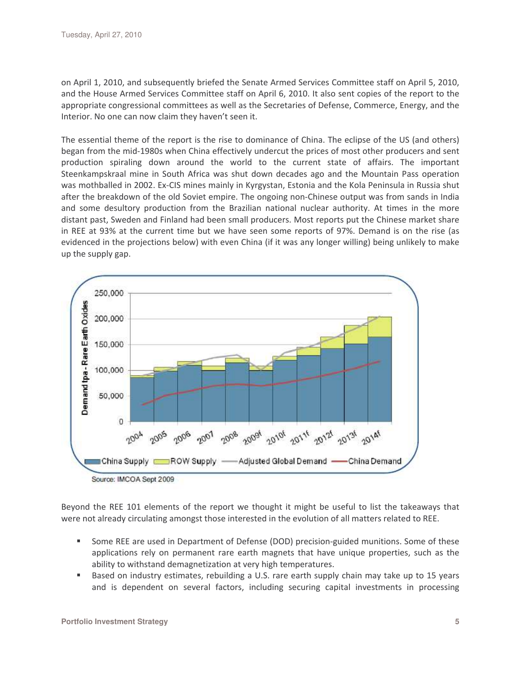on April 1, 2010, and subsequently briefed the Senate Armed Services Committee staff on April 5, 2010, and the House Armed Services Committee staff on April 6, 2010. It also sent copies of the report to the appropriate congressional committees as well as the Secretaries of Defense, Commerce, Energy, and the Interior. No one can now claim they haven't seen it.

The essential theme of the report is the rise to dominance of China. The eclipse of the US (and others) began from the mid-1980s when China effectively undercut the prices of most other producers and sent production spiraling down around the world to the current state of affairs. The important Steenkampskraal mine in South Africa was shut down decades ago and the Mountain Pass operation was mothballed in 2002. Ex-CIS mines mainly in Kyrgystan, Estonia and the Kola Peninsula in Russia shut after the breakdown of the old Soviet empire. The ongoing non-Chinese output was from sands in India and some desultory production from the Brazilian national nuclear authority. At times in the more distant past, Sweden and Finland had been small producers. Most reports put the Chinese market share in REE at 93% at the current time but we have seen some reports of 97%. Demand is on the rise (as evidenced in the projections below) with even China (if it was any longer willing) being unlikely to make up the supply gap.



Beyond the REE 101 elements of the report we thought it might be useful to list the takeaways that were not already circulating amongst those interested in the evolution of all matters related to REE.

- Some REE are used in Department of Defense (DOD) precision-guided munitions. Some of these applications rely on permanent rare earth magnets that have unique properties, such as the ability to withstand demagnetization at very high temperatures.
- Based on industry estimates, rebuilding a U.S. rare earth supply chain may take up to 15 years and is dependent on several factors, including securing capital investments in processing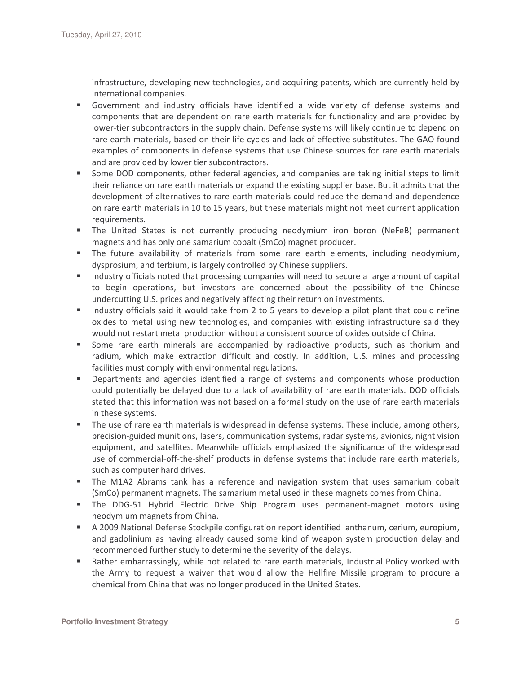infrastructure, developing new technologies, and acquiring patents, which are currently held by international companies.

- " Government and industry officials have identified a wide variety of defense systems and components that are dependent on rare earth materials for functionality and are provided by lower-tier subcontractors in the supply chain. Defense systems will likely continue to depend on rare earth materials, based on their life cycles and lack of effective substitutes. The GAO found examples of components in defense systems that use Chinese sources for rare earth materials and are provided by lower tier subcontractors.
- " Some DOD components, other federal agencies, and companies are taking initial steps to limit their reliance on rare earth materials or expand the existing supplier base. But it admits that the development of alternatives to rare earth materials could reduce the demand and dependence on rare earth materials in 10 to 15 years, but these materials might not meet current application requirements.
- The United States is not currently producing neodymium iron boron (NeFeB) permanent magnets and has only one samarium cobalt (SmCo) magnet producer.
- " The future availability of materials from some rare earth elements, including neodymium, dysprosium, and terbium, is largely controlled by Chinese suppliers.
- " Industry officials noted that processing companies will need to secure a large amount of capital to begin operations, but investors are concerned about the possibility of the Chinese undercutting U.S. prices and negatively affecting their return on investments.
- " Industry officials said it would take from 2 to 5 years to develop a pilot plant that could refine oxides to metal using new technologies, and companies with existing infrastructure said they would not restart metal production without a consistent source of oxides outside of China.
- " Some rare earth minerals are accompanied by radioactive products, such as thorium and radium, which make extraction difficult and costly. In addition, U.S. mines and processing facilities must comply with environmental regulations.
- " Departments and agencies identified a range of systems and components whose production could potentially be delayed due to a lack of availability of rare earth materials. DOD officials stated that this information was not based on a formal study on the use of rare earth materials in these systems.
- " The use of rare earth materials is widespread in defense systems. These include, among others, precision-guided munitions, lasers, communication systems, radar systems, avionics, night vision equipment, and satellites. Meanwhile officials emphasized the significance of the widespread use of commercial-off-the-shelf products in defense systems that include rare earth materials, such as computer hard drives.
- The M1A2 Abrams tank has a reference and navigation system that uses samarium cobalt (SmCo) permanent magnets. The samarium metal used in these magnets comes from China.
- " The DDG-51 Hybrid Electric Drive Ship Program uses permanent-magnet motors using neodymium magnets from China.
- " A 2009 National Defense Stockpile configuration report identified lanthanum, cerium, europium, and gadolinium as having already caused some kind of weapon system production delay and recommended further study to determine the severity of the delays.
- " Rather embarrassingly, while not related to rare earth materials, Industrial Policy worked with the Army to request a waiver that would allow the Hellfire Missile program to procure a chemical from China that was no longer produced in the United States.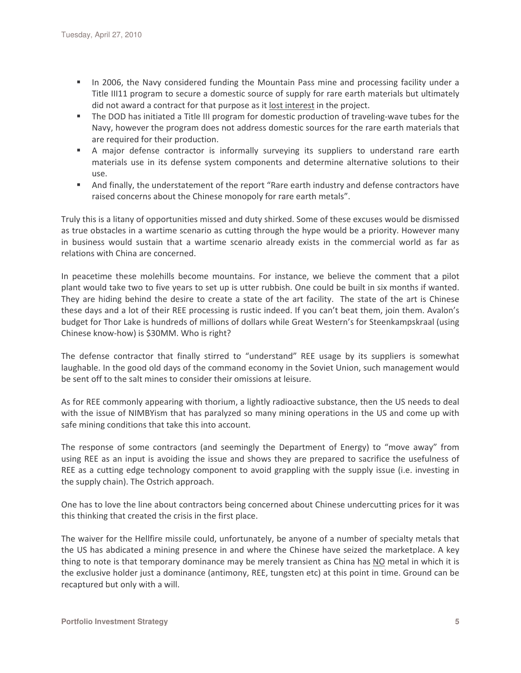- " In 2006, the Navy considered funding the Mountain Pass mine and processing facility under a Title III11 program to secure a domestic source of supply for rare earth materials but ultimately did not award a contract for that purpose as it lost interest in the project.
- The DOD has initiated a Title III program for domestic production of traveling-wave tubes for the Navy, however the program does not address domestic sources for the rare earth materials that are required for their production.
- A major defense contractor is informally surveying its suppliers to understand rare earth materials use in its defense system components and determine alternative solutions to their use.
- And finally, the understatement of the report "Rare earth industry and defense contractors have raised concerns about the Chinese monopoly for rare earth metals".

Truly this is a litany of opportunities missed and duty shirked. Some of these excuses would be dismissed as true obstacles in a wartime scenario as cutting through the hype would be a priority. However many in business would sustain that a wartime scenario already exists in the commercial world as far as relations with China are concerned.

In peacetime these molehills become mountains. For instance, we believe the comment that a pilot plant would take two to five years to set up is utter rubbish. One could be built in six months if wanted. They are hiding behind the desire to create a state of the art facility. The state of the art is Chinese these days and a lot of their REE processing is rustic indeed. If you can't beat them, join them. Avalon's budget for Thor Lake is hundreds of millions of dollars while Great Western's for Steenkampskraal (using Chinese know-how) is \$30MM. Who is right?

The defense contractor that finally stirred to "understand" REE usage by its suppliers is somewhat laughable. In the good old days of the command economy in the Soviet Union, such management would be sent off to the salt mines to consider their omissions at leisure.

As for REE commonly appearing with thorium, a lightly radioactive substance, then the US needs to deal with the issue of NIMBYism that has paralyzed so many mining operations in the US and come up with safe mining conditions that take this into account.

The response of some contractors (and seemingly the Department of Energy) to "move away" from using REE as an input is avoiding the issue and shows they are prepared to sacrifice the usefulness of REE as a cutting edge technology component to avoid grappling with the supply issue (i.e. investing in the supply chain). The Ostrich approach.

One has to love the line about contractors being concerned about Chinese undercutting prices for it was this thinking that created the crisis in the first place.

The waiver for the Hellfire missile could, unfortunately, be anyone of a number of specialty metals that the US has abdicated a mining presence in and where the Chinese have seized the marketplace. A key thing to note is that temporary dominance may be merely transient as China has NO metal in which it is the exclusive holder just a dominance (antimony, REE, tungsten etc) at this point in time. Ground can be recaptured but only with a will.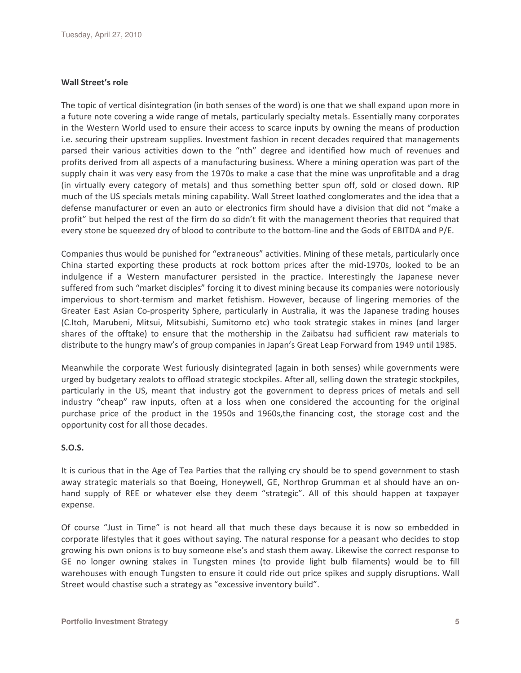#### **Wall Street's role**

The topic of vertical disintegration (in both senses of the word) is one that we shall expand upon more in a future note covering a wide range of metals, particularly specialty metals. Essentially many corporates in the Western World used to ensure their access to scarce inputs by owning the means of production i.e. securing their upstream supplies. Investment fashion in recent decades required that managements parsed their various activities down to the "nth" degree and identified how much of revenues and profits derived from all aspects of a manufacturing business. Where a mining operation was part of the supply chain it was very easy from the 1970s to make a case that the mine was unprofitable and a drag (in virtually every category of metals) and thus something better spun off, sold or closed down. RIP much of the US specials metals mining capability. Wall Street loathed conglomerates and the idea that a defense manufacturer or even an auto or electronics firm should have a division that did not "make a profit" but helped the rest of the firm do so didn't fit with the management theories that required that every stone be squeezed dry of blood to contribute to the bottom-line and the Gods of EBITDA and P/E.

Companies thus would be punished for "extraneous" activities. Mining of these metals, particularly once China started exporting these products at rock bottom prices after the mid-1970s, looked to be an indulgence if a Western manufacturer persisted in the practice. Interestingly the Japanese never suffered from such "market disciples" forcing it to divest mining because its companies were notoriously impervious to short-termism and market fetishism. However, because of lingering memories of the Greater East Asian Co-prosperity Sphere, particularly in Australia, it was the Japanese trading houses (C.Itoh, Marubeni, Mitsui, Mitsubishi, Sumitomo etc) who took strategic stakes in mines (and larger shares of the offtake) to ensure that the mothership in the Zaibatsu had sufficient raw materials to distribute to the hungry maw's of group companies in Japan's Great Leap Forward from 1949 until 1985.

Meanwhile the corporate West furiously disintegrated (again in both senses) while governments were urged by budgetary zealots to offload strategic stockpiles. After all, selling down the strategic stockpiles, particularly in the US, meant that industry got the government to depress prices of metals and sell industry "cheap" raw inputs, often at a loss when one considered the accounting for the original purchase price of the product in the 1950s and 1960s, the financing cost, the storage cost and the opportunity cost for all those decades.

#### $S.O.S.$

It is curious that in the Age of Tea Parties that the rallying cry should be to spend government to stash away strategic materials so that Boeing, Honeywell, GE, Northrop Grumman et al should have an onhand supply of REE or whatever else they deem "strategic". All of this should happen at taxpayer expense.

Of course "Just in Time" is not heard all that much these days because it is now so embedded in corporate lifestyles that it goes without saying. The natural response for a peasant who decides to stop growing his own onions is to buy someone else's and stash them away. Likewise the correct response to GE no longer owning stakes in Tungsten mines (to provide light bulb filaments) would be to fill warehouses with enough Tungsten to ensure it could ride out price spikes and supply disruptions. Wall Street would chastise such a strategy as "excessive inventory build".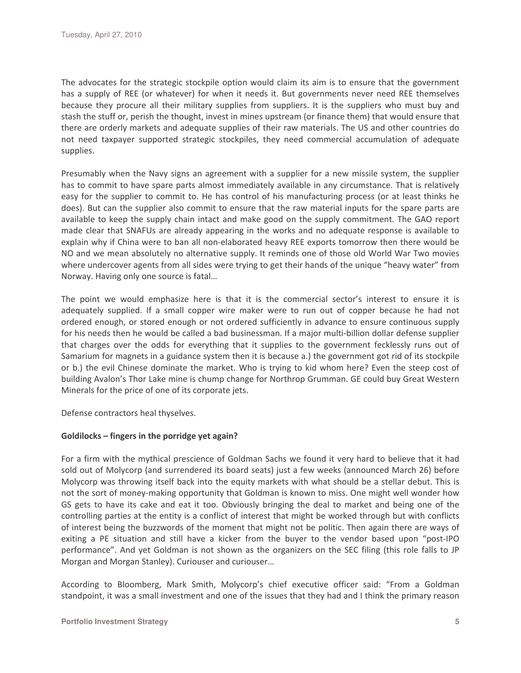The advocates for the strategic stockpile option would claim its aim is to ensure that the government has a supply of REE (or whatever) for when it needs it. But governments never need REE themselves because they procure all their military supplies from suppliers. It is the suppliers who must buy and stash the stuff or, perish the thought, invest in mines upstream (or finance them) that would ensure that there are orderly markets and adequate supplies of their raw materials. The US and other countries do not need taxpayer supported strategic stockpiles, they need commercial accumulation of adequate supplies.

Presumably when the Navy signs an agreement with a supplier for a new missile system, the supplier has to commit to have spare parts almost immediately available in any circumstance. That is relatively easy for the supplier to commit to. He has control of his manufacturing process (or at least thinks he does). But can the supplier also commit to ensure that the raw material inputs for the spare parts are available to keep the supply chain intact and make good on the supply commitment. The GAO report made clear that SNAFUs are already appearing in the works and no adequate response is available to explain why if China were to ban all non-elaborated heavy REE exports tomorrow then there would be NO and we mean absolutely no alternative supply. It reminds one of those old World War Two movies where undercover agents from all sides were trying to get their hands of the unique "heavy water" from Norway. Having only one source is fatal...

The point we would emphasize here is that it is the commercial sector's interest to ensure it is adequately supplied. If a small copper wire maker were to run out of copper because he had not ordered enough, or stored enough or not ordered sufficiently in advance to ensure continuous supply for his needs then he would be called a bad businessman. If a major multi-billion dollar defense supplier that charges over the odds for everything that it supplies to the government fecklessly runs out of Samarium for magnets in a guidance system then it is because a.) the government got rid of its stockpile or b.) the evil Chinese dominate the market. Who is trying to kid whom here? Even the steep cost of building Avalon's Thor Lake mine is chump change for Northrop Grumman. GE could buy Great Western Minerals for the price of one of its corporate jets.

Defense contractors heal thyselves.

#### Goldilocks - fingers in the porridge yet again?

For a firm with the mythical prescience of Goldman Sachs we found it very hard to believe that it had sold out of Molycorp (and surrendered its board seats) just a few weeks (announced March 26) before Molycorp was throwing itself back into the equity markets with what should be a stellar debut. This is not the sort of money-making opportunity that Goldman is known to miss. One might well wonder how GS gets to have its cake and eat it too. Obviously bringing the deal to market and being one of the controlling parties at the entity is a conflict of interest that might be worked through but with conflicts of interest being the buzzwords of the moment that might not be politic. Then again there are ways of exiting a PE situation and still have a kicker from the buyer to the vendor based upon "post-IPO performance". And yet Goldman is not shown as the organizers on the SEC filing (this role falls to JP Morgan and Morgan Stanley). Curiouser and curiouser...

According to Bloomberg, Mark Smith, Molycorp's chief executive officer said: "From a Goldman standpoint, it was a small investment and one of the issues that they had and I think the primary reason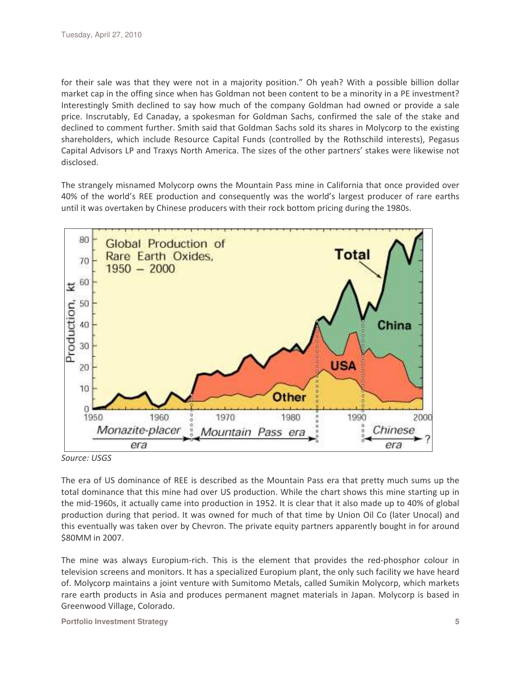for their sale was that they were not in a majority position." Oh yeah? With a possible billion dollar market cap in the offing since when has Goldman not been content to be a minority in a PE investment? Interestingly Smith declined to say how much of the company Goldman had owned or provide a sale price. Inscrutably, Ed Canaday, a spokesman for Goldman Sachs, confirmed the sale of the stake and declined to comment further. Smith said that Goldman Sachs sold its shares in Molycorp to the existing shareholders, which include Resource Capital Funds (controlled by the Rothschild interests), Pegasus Capital Advisors LP and Traxys North America. The sizes of the other partners' stakes were likewise not disclosed

The strangely misnamed Molycorp owns the Mountain Pass mine in California that once provided over 40% of the world's REE production and consequently was the world's largest producer of rare earths until it was overtaken by Chinese producers with their rock bottom pricing during the 1980s.



Source: USGS

The era of US dominance of REE is described as the Mountain Pass era that pretty much sums up the total dominance that this mine had over US production. While the chart shows this mine starting up in the mid-1960s, it actually came into production in 1952. It is clear that it also made up to 40% of global production during that period. It was owned for much of that time by Union Oil Co (later Unocal) and this eventually was taken over by Chevron. The private equity partners apparently bought in for around \$80MM in 2007.

The mine was always Europium-rich. This is the element that provides the red-phosphor colour in television screens and monitors. It has a specialized Europium plant, the only such facility we have heard of. Molycorp maintains a joint venture with Sumitomo Metals, called Sumikin Molycorp, which markets rare earth products in Asia and produces permanent magnet materials in Japan. Molycorp is based in Greenwood Village, Colorado.

**Portfolio Investment Strategy**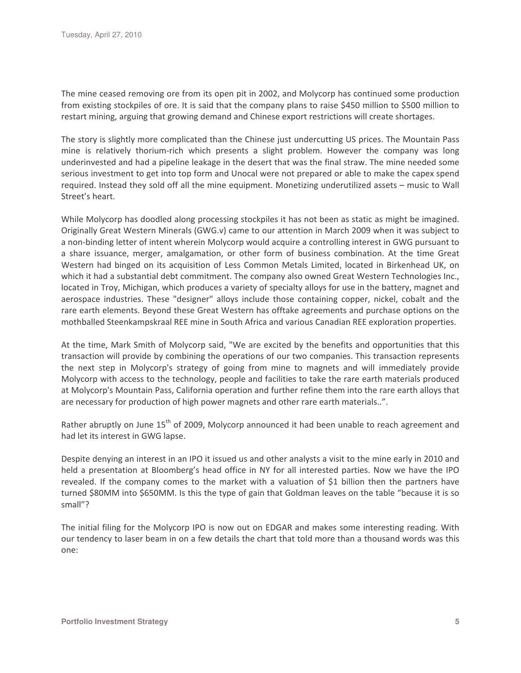The mine ceased removing ore from its open pit in 2002, and Molycorp has continued some production from existing stockpiles of ore. It is said that the company plans to raise \$450 million to \$500 million to restart mining, arguing that growing demand and Chinese export restrictions will create shortages.

The story is slightly more complicated than the Chinese just undercutting US prices. The Mountain Pass mine is relatively thorium-rich which presents a slight problem. However the company was long underinvested and had a pipeline leakage in the desert that was the final straw. The mine needed some serious investment to get into top form and Unocal were not prepared or able to make the capex spend required. Instead they sold off all the mine equipment. Monetizing underutilized assets - music to Wall Street's heart.

While Molycorp has doodled along processing stockpiles it has not been as static as might be imagined. Originally Great Western Minerals (GWG.v) came to our attention in March 2009 when it was subject to a non-binding letter of intent wherein Molycorp would acquire a controlling interest in GWG pursuant to a share issuance, merger, amalgamation, or other form of business combination. At the time Great Western had binged on its acquisition of Less Common Metals Limited, located in Birkenhead UK, on which it had a substantial debt commitment. The company also owned Great Western Technologies Inc., located in Troy, Michigan, which produces a variety of specialty alloys for use in the battery, magnet and aerospace industries. These "designer" alloys include those containing copper, nickel, cobalt and the rare earth elements. Beyond these Great Western has offtake agreements and purchase options on the mothballed Steenkampskraal REE mine in South Africa and various Canadian REE exploration properties.

At the time, Mark Smith of Molycorp said, "We are excited by the benefits and opportunities that this transaction will provide by combining the operations of our two companies. This transaction represents the next step in Molycorp's strategy of going from mine to magnets and will immediately provide Molycorp with access to the technology, people and facilities to take the rare earth materials produced at Molycorp's Mountain Pass, California operation and further refine them into the rare earth alloys that are necessary for production of high power magnets and other rare earth materials..".

Rather abruptly on June 15<sup>th</sup> of 2009, Molycorp announced it had been unable to reach agreement and had let its interest in GWG lapse.

Despite denying an interest in an IPO it issued us and other analysts a visit to the mine early in 2010 and held a presentation at Bloomberg's head office in NY for all interested parties. Now we have the IPO revealed. If the company comes to the market with a valuation of \$1 billion then the partners have turned \$80MM into \$650MM. Is this the type of gain that Goldman leaves on the table "because it is so small"?

The initial filing for the Molycorp IPO is now out on EDGAR and makes some interesting reading. With our tendency to laser beam in on a few details the chart that told more than a thousand words was this one: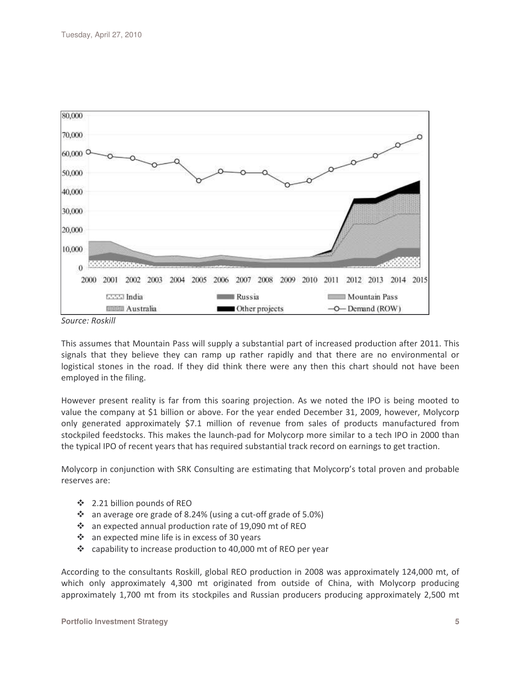

Source: Roskill

This assumes that Mountain Pass will supply a substantial part of increased production after 2011. This signals that they believe they can ramp up rather rapidly and that there are no environmental or logistical stones in the road. If they did think there were any then this chart should not have been employed in the filing.

However present reality is far from this soaring projection. As we noted the IPO is being mooted to value the company at \$1 billion or above. For the year ended December 31, 2009, however, Molycorp only generated approximately \$7.1 million of revenue from sales of products manufactured from stockpiled feedstocks. This makes the launch-pad for Molycorp more similar to a tech IPO in 2000 than the typical IPO of recent years that has required substantial track record on earnings to get traction.

Molycorp in conjunction with SRK Consulting are estimating that Molycorp's total proven and probable reserves are:

- ❖ 2.21 billion pounds of REO
- ❖ an average ore grade of 8.24% (using a cut-off grade of 5.0%)
- ❖ an expected annual production rate of 19,090 mt of REO
- ❖ an expected mine life is in excess of 30 years
- ❖ capability to increase production to 40,000 mt of REO per year

According to the consultants Roskill, global REO production in 2008 was approximately 124,000 mt, of which only approximately 4,300 mt originated from outside of China, with Molycorp producing approximately 1,700 mt from its stockpiles and Russian producers producing approximately 2,500 mt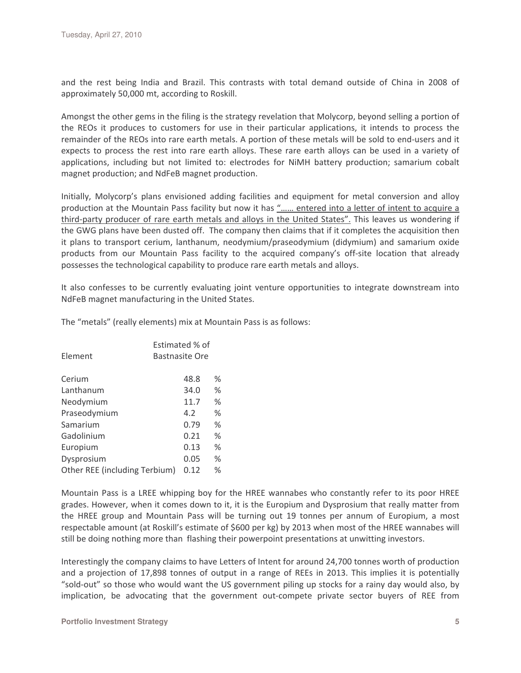and the rest being India and Brazil. This contrasts with total demand outside of China in 2008 of approximately 50,000 mt, according to Roskill.

Amongst the other gems in the filing is the strategy revelation that Molycorp, beyond selling a portion of the REOs it produces to customers for use in their particular applications, it intends to process the remainder of the REOs into rare earth metals. A portion of these metals will be sold to end-users and it expects to process the rest into rare earth alloys. These rare earth alloys can be used in a variety of applications, including but not limited to: electrodes for NiMH battery production; samarium cobalt magnet production; and NdFeB magnet production.

Initially, Molycorp's plans envisioned adding facilities and equipment for metal conversion and alloy production at the Mountain Pass facility but now it has "...... entered into a letter of intent to acquire a third-party producer of rare earth metals and alloys in the United States". This leaves us wondering if the GWG plans have been dusted off. The company then claims that if it completes the acquisition then it plans to transport cerium, lanthanum, neodymium/praseodymium (didymium) and samarium oxide products from our Mountain Pass facility to the acquired company's off-site location that already possesses the technological capability to produce rare earth metals and alloys.

It also confesses to be currently evaluating joint venture opportunities to integrate downstream into NdFeB magnet manufacturing in the United States.

The "metals" (really elements) mix at Mountain Pass is as follows:

|                               | Estimated % of |   |  |  |  |  |  |  |  |  |
|-------------------------------|----------------|---|--|--|--|--|--|--|--|--|
| Element                       | Bastnasite Ore |   |  |  |  |  |  |  |  |  |
|                               |                |   |  |  |  |  |  |  |  |  |
| Cerium                        | 48.8           | ℅ |  |  |  |  |  |  |  |  |
| Lanthanum                     | 34.0           | % |  |  |  |  |  |  |  |  |
| Neodymium                     | 11.7           | % |  |  |  |  |  |  |  |  |
| Praseodymium                  | 4.2            | % |  |  |  |  |  |  |  |  |
| Samarium                      | 0.79           | % |  |  |  |  |  |  |  |  |
| Gadolinium                    | 0.21           | % |  |  |  |  |  |  |  |  |
| Europium                      | 0.13           | % |  |  |  |  |  |  |  |  |
| Dysprosium                    | 0.05           | % |  |  |  |  |  |  |  |  |
| Other REE (including Terbium) | 0.12           | ℅ |  |  |  |  |  |  |  |  |
|                               |                |   |  |  |  |  |  |  |  |  |

Mountain Pass is a LREE whipping boy for the HREE wannabes who constantly refer to its poor HREE grades. However, when it comes down to it, it is the Europium and Dysprosium that really matter from the HREE group and Mountain Pass will be turning out 19 tonnes per annum of Europium, a most respectable amount (at Roskill's estimate of \$600 per kg) by 2013 when most of the HREE wannabes will still be doing nothing more than flashing their powerpoint presentations at unwitting investors.

Interestingly the company claims to have Letters of Intent for around 24,700 tonnes worth of production and a projection of 17,898 tonnes of output in a range of REEs in 2013. This implies it is potentially "sold-out" so those who would want the US government piling up stocks for a rainy day would also, by implication, be advocating that the government out-compete private sector buyers of REE from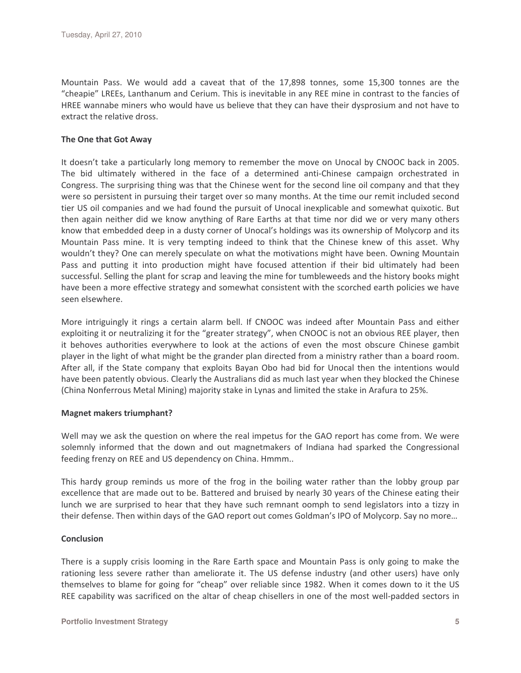Mountain Pass. We would add a caveat that of the 17,898 tonnes, some 15,300 tonnes are the "cheapie" LREEs, Lanthanum and Cerium. This is inevitable in any REE mine in contrast to the fancies of HREE wannabe miners who would have us believe that they can have their dysprosium and not have to extract the relative dross.

#### The One that Got Away

It doesn't take a particularly long memory to remember the move on Unocal by CNOOC back in 2005. The bid ultimately withered in the face of a determined anti-Chinese campaign orchestrated in Congress. The surprising thing was that the Chinese went for the second line oil company and that they were so persistent in pursuing their target over so many months. At the time our remit included second tier US oil companies and we had found the pursuit of Unocal inexplicable and somewhat quixotic. But then again neither did we know anything of Rare Earths at that time nor did we or very many others know that embedded deep in a dusty corner of Unocal's holdings was its ownership of Molycorp and its Mountain Pass mine. It is very tempting indeed to think that the Chinese knew of this asset. Why wouldn't they? One can merely speculate on what the motivations might have been. Owning Mountain Pass and putting it into production might have focused attention if their bid ultimately had been successful. Selling the plant for scrap and leaving the mine for tumbleweeds and the history books might have been a more effective strategy and somewhat consistent with the scorched earth policies we have seen elsewhere.

More intriguingly it rings a certain alarm bell. If CNOOC was indeed after Mountain Pass and either exploiting it or neutralizing it for the "greater strategy", when CNOOC is not an obvious REE player, then it behoves authorities everywhere to look at the actions of even the most obscure Chinese gambit player in the light of what might be the grander plan directed from a ministry rather than a board room. After all, if the State company that exploits Bayan Obo had bid for Unocal then the intentions would have been patently obvious. Clearly the Australians did as much last year when they blocked the Chinese (China Nonferrous Metal Mining) majority stake in Lynas and limited the stake in Arafura to 25%.

#### **Magnet makers triumphant?**

Well may we ask the question on where the real impetus for the GAO report has come from. We were solemnly informed that the down and out magnetmakers of Indiana had sparked the Congressional feeding frenzy on REE and US dependency on China. Hmmm..

This hardy group reminds us more of the frog in the boiling water rather than the lobby group par excellence that are made out to be. Battered and bruised by nearly 30 years of the Chinese eating their lunch we are surprised to hear that they have such remnant oomph to send legislators into a tizzy in their defense. Then within days of the GAO report out comes Goldman's IPO of Molycorp. Say no more...

#### **Conclusion**

There is a supply crisis looming in the Rare Earth space and Mountain Pass is only going to make the rationing less severe rather than ameliorate it. The US defense industry (and other users) have only themselves to blame for going for "cheap" over reliable since 1982. When it comes down to it the US REE capability was sacrificed on the altar of cheap chisellers in one of the most well-padded sectors in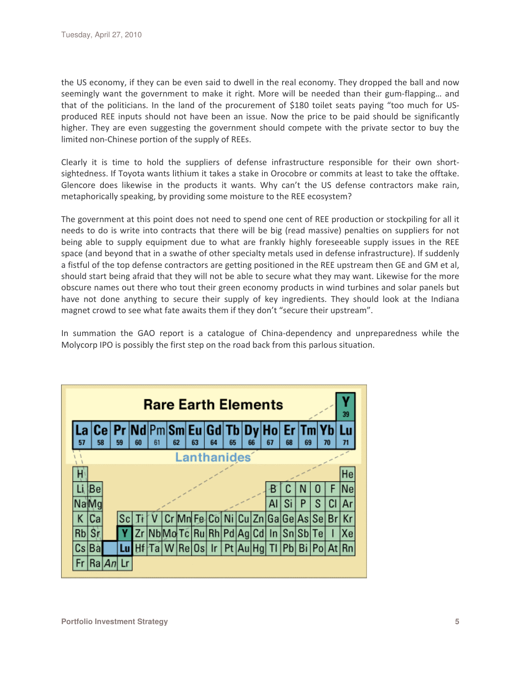the US economy, if they can be even said to dwell in the real economy. They dropped the ball and now seemingly want the government to make it right. More will be needed than their gum-flapping... and that of the politicians. In the land of the procurement of \$180 toilet seats paying "too much for USproduced REE inputs should not have been an issue. Now the price to be paid should be significantly higher. They are even suggesting the government should compete with the private sector to buy the limited non-Chinese portion of the supply of REEs.

Clearly it is time to hold the suppliers of defense infrastructure responsible for their own shortsightedness. If Toyota wants lithium it takes a stake in Orocobre or commits at least to take the offtake. Glencore does likewise in the products it wants. Why can't the US defense contractors make rain, metaphorically speaking, by providing some moisture to the REE ecosystem?

The government at this point does not need to spend one cent of REE production or stockpiling for all it needs to do is write into contracts that there will be big (read massive) penalties on suppliers for not being able to supply equipment due to what are frankly highly foreseeable supply issues in the REE space (and beyond that in a swathe of other specialty metals used in defense infrastructure). If suddenly a fistful of the top defense contractors are getting positioned in the REE upstream then GE and GM et al, should start being afraid that they will not be able to secure what they may want. Likewise for the more obscure names out there who tout their green economy products in wind turbines and solar panels but have not done anything to secure their supply of key ingredients. They should look at the Indiana magnet crowd to see what fate awaits them if they don't "secure their upstream".

In summation the GAO report is a catalogue of China-dependency and unpreparedness while the Molycorp IPO is possibly the first step on the road back from this parlous situation.

| <b>Rare Earth Elements</b> |               |                     |    |    |    |    |    |                                                         |    |  |    |    | 39 |    |  |    |       |
|----------------------------|---------------|---------------------|----|----|----|----|----|---------------------------------------------------------|----|--|----|----|----|----|--|----|-------|
|                            |               |                     |    |    |    |    |    | Ce  Pr Nd Pm Sm Eu Gd  Tb  Dy  Ho  Er  Tm  Yb           |    |  |    |    |    |    |  |    | Lu    |
| 57                         | 58            |                     | 59 | 60 | 61 | 62 | 63 | 64                                                      | 65 |  | 66 | 67 | 68 | 69 |  | 70 | 71    |
|                            |               |                     |    |    |    |    |    | Lanthanides                                             |    |  |    |    |    |    |  |    |       |
| Н                          |               |                     |    |    |    |    |    |                                                         |    |  |    |    |    | He |  |    |       |
|                            | Be            |                     |    |    |    |    |    |                                                         |    |  |    |    | Ne |    |  |    |       |
| NaMg                       |               | S<br>Si<br>P<br>AII |    |    |    |    |    |                                                         |    |  |    |    | СI | Ar |  |    |       |
| К                          | Сa            |                     |    |    |    |    |    | Cr Mn Fe Co Ni Cu Zn Ga Ge As Se                        |    |  |    |    |    |    |  |    | Br Kr |
| Rb                         | $S_{\rm F}$   |                     |    |    |    |    |    | Zr NbMo Tc Ru Rh Pd Ag Cd In Sn Sb Te                   |    |  |    |    |    |    |  |    | Xe    |
| CsBal                      |               |                     | Lu |    |    |    |    | Hf Ta W Re Os Ir   Pt Au Hg TI   Pb   Bi   Po   At   Rn |    |  |    |    |    |    |  |    |       |
|                            | Ra  <i>An</i> |                     |    |    |    |    |    |                                                         |    |  |    |    |    |    |  |    |       |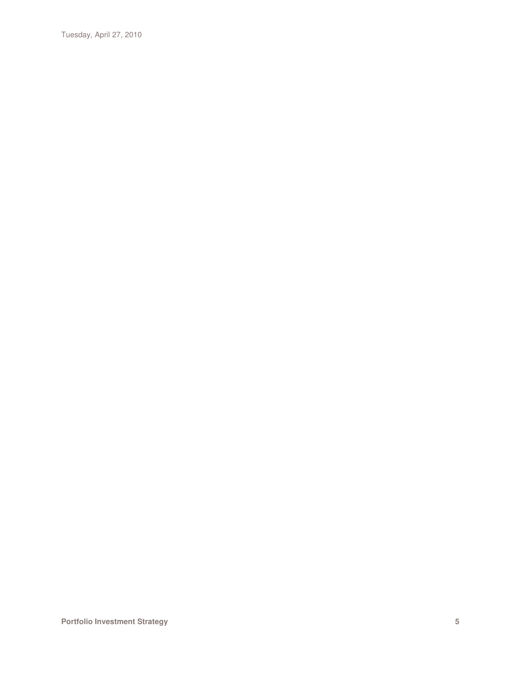Tuesday, April 27, 2010